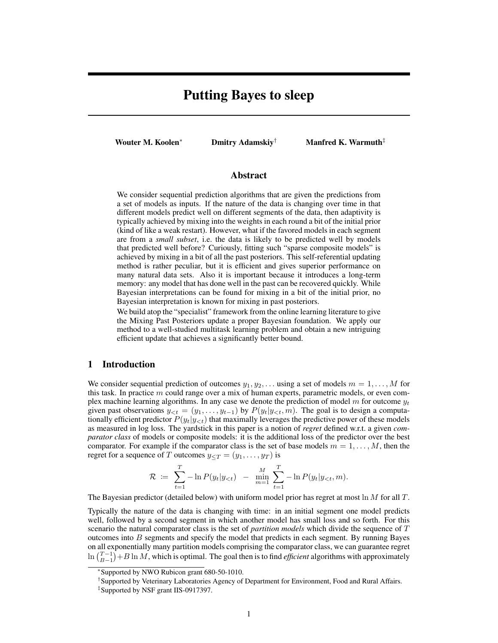# Putting Bayes to sleep

Wouter M. Koolen<sup>∗</sup> Dmitry Adamskiy<sup>†</sup> Manfred K. Warmuth<sup>‡</sup>

### Abstract

We consider sequential prediction algorithms that are given the predictions from a set of models as inputs. If the nature of the data is changing over time in that different models predict well on different segments of the data, then adaptivity is typically achieved by mixing into the weights in each round a bit of the initial prior (kind of like a weak restart). However, what if the favored models in each segment are from a *small subset*, i.e. the data is likely to be predicted well by models that predicted well before? Curiously, fitting such "sparse composite models" is achieved by mixing in a bit of all the past posteriors. This self-referential updating method is rather peculiar, but it is efficient and gives superior performance on many natural data sets. Also it is important because it introduces a long-term memory: any model that has done well in the past can be recovered quickly. While Bayesian interpretations can be found for mixing in a bit of the initial prior, no Bayesian interpretation is known for mixing in past posteriors.

We build atop the "specialist" framework from the online learning literature to give the Mixing Past Posteriors update a proper Bayesian foundation. We apply our method to a well-studied multitask learning problem and obtain a new intriguing efficient update that achieves a significantly better bound.

## 1 Introduction

We consider sequential prediction of outcomes  $y_1, y_2, \ldots$  using a set of models  $m = 1, \ldots, M$  for this task. In practice  $m$  could range over a mix of human experts, parametric models, or even complex machine learning algorithms. In any case we denote the prediction of model m for outcome  $y_t$ given past observations  $y_{< t} = (y_1, \ldots, y_{t-1})$  by  $P(y_t|y_{< t}, m)$ . The goal is to design a computationally efficient predictor  $P(y_t|y_{< t})$  that maximally leverages the predictive power of these models as measured in log loss. The yardstick in this paper is a notion of *regret* defined w.r.t. a given *comparator class* of models or composite models: it is the additional loss of the predictor over the best comparator. For example if the comparator class is the set of base models  $m = 1, \ldots, M$ , then the regret for a sequence of T outcomes  $y_{\leq T} = (y_1, \ldots, y_T)$  is

$$
\mathcal{R} := \sum_{t=1}^T -\ln P(y_t|y_{<};t) - \min_{m=1}^M \sum_{t=1}^T -\ln P(y_t|y_{
$$

The Bayesian predictor (detailed below) with uniform model prior has regret at most  $\ln M$  for all T.

Typically the nature of the data is changing with time: in an initial segment one model predicts well, followed by a second segment in which another model has small loss and so forth. For this scenario the natural comparator class is the set of *partition models* which divide the sequence of T outcomes into  $B$  segments and specify the model that predicts in each segment. By running Bayes on all exponentially many partition models comprising the comparator class, we can guarantee regret  $\ln{\binom{T-1}{B-1}} + B \ln M$ , which is optimal. The goal then is to find *efficient* algorithms with approximately

<sup>∗</sup> Supported by NWO Rubicon grant 680-50-1010.

<sup>†</sup> Supported by Veterinary Laboratories Agency of Department for Environment, Food and Rural Affairs.

<sup>‡</sup> Supported by NSF grant IIS-0917397.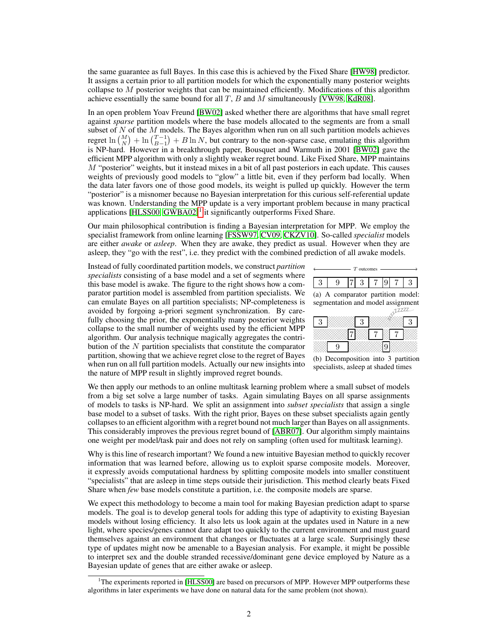the same guarantee as full Bayes. In this case this is achieved by the Fixed Share [HW98] predictor. It assigns a certain prior to all partition models for which the exponentially many posterior weights collapse to  $M$  posterior weights that can be maintained efficiently. Modifications of this algorithm achieve essentially the same bound for all  $T$ ,  $B$  and  $M$  simultaneously [VW98, KdR08].

In an open problem Yoav Freund [BW02] asked whether there are algorithms that have small regret against *sparse* partition models where the base models allocated to the segments are from a small subset of  $N$  of the  $M$  models. The Bayes algorithm when run on all such partition models achieves regret  $\ln {M \choose N} + \ln {T-1 \choose B-1} + B \ln N$ , but contrary to the non-sparse case, emulating this algorithm is NP-hard. However in a breakthrough paper, Bousquet and Warmuth in 2001 [BW02] gave the efficient MPP algorithm with only a slightly weaker regret bound. Like Fixed Share, MPP maintains  $M$  "posterior" weights, but it instead mixes in a bit of all past posteriors in each update. This causes weights of previously good models to "glow" a little bit, even if they perform bad locally. When the data later favors one of those good models, its weight is pulled up quickly. However the term "posterior" is a misnomer because no Bayesian interpretation for this curious self-referential update was known. Understanding the MPP update is a very important problem because in many practical applications [HLSS00, GWBA02]<sup>1</sup> it significantly outperforms Fixed Share.

Our main philosophical contribution is finding a Bayesian interpretation for MPP. We employ the specialist framework from online learning [FSSW97, CV09, CKZV10]. So-called *specialist* models are either *awake* or *asleep*. When they are awake, they predict as usual. However when they are asleep, they "go with the rest", i.e. they predict with the combined prediction of all awake models.

Instead of fully coordinated partition models, we construct *partition specialists* consisting of a base model and a set of segments where this base model is awake. The figure to the right shows how a comparator partition model is assembled from partition specialists. We can emulate Bayes on all partition specialists; NP-completeness is avoided by forgoing a-priori segment synchronization. By carefully choosing the prior, the exponentially many posterior weights collapse to the small number of weights used by the efficient MPP algorithm. Our analysis technique magically aggregates the contribution of the  $N$  partition specialists that constitute the comparator partition, showing that we achieve regret close to the regret of Bayes when run on all full partition models. Actually our new insights into the nature of MPP result in slightly improved regret bounds.





We then apply our methods to an online multitask learning problem where a small subset of models from a big set solve a large number of tasks. Again simulating Bayes on all sparse assignments of models to tasks is NP-hard. We split an assignment into *subset specialists* that assign a single base model to a subset of tasks. With the right prior, Bayes on these subset specialists again gently collapses to an efficient algorithm with a regret bound not much larger than Bayes on all assignments. This considerably improves the previous regret bound of [ABR07]. Our algorithm simply maintains one weight per model/task pair and does not rely on sampling (often used for multitask learning).

Why is this line of research important? We found a new intuitive Bayesian method to quickly recover information that was learned before, allowing us to exploit sparse composite models. Moreover, it expressly avoids computational hardness by splitting composite models into smaller constituent "specialists" that are asleep in time steps outside their jurisdiction. This method clearly beats Fixed Share when *few* base models constitute a partition, i.e. the composite models are sparse.

We expect this methodology to become a main tool for making Bayesian prediction adapt to sparse models. The goal is to develop general tools for adding this type of adaptivity to existing Bayesian models without losing efficiency. It also lets us look again at the updates used in Nature in a new light, where species/genes cannot dare adapt too quickly to the current environment and must guard themselves against an environment that changes or fluctuates at a large scale. Surprisingly these type of updates might now be amenable to a Bayesian analysis. For example, it might be possible to interpret sex and the double stranded recessive/dominant gene device employed by Nature as a Bayesian update of genes that are either awake or asleep.

<sup>&</sup>lt;sup>1</sup>The experiments reported in [HLSS00] are based on precursors of MPP. However MPP outperforms these algorithms in later experiments we have done on natural data for the same problem (not shown).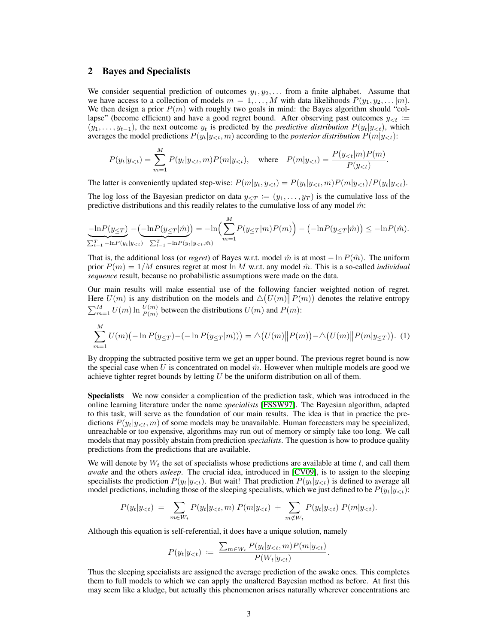### 2 Bayes and Specialists

We consider sequential prediction of outcomes  $y_1, y_2, \ldots$  from a finite alphabet. Assume that we have access to a collection of models  $m = 1, \ldots, M$  with data likelihoods  $P(y_1, y_2, \ldots | m)$ . We then design a prior  $P(m)$  with roughly two goals in mind: the Bayes algorithm should "collapse" (become efficient) and have a good regret bound. After observing past outcomes  $y_{\leq t}$  :=  $(y_1, \ldots, y_{t-1})$ , the next outcome  $y_t$  is predicted by the *predictive distribution*  $P(y_t|y_{<}; t)$ , which averages the model predictions  $P(y_t|y_{\leq t}, m)$  according to the *posterior distribution*  $P(m|y_{\leq t})$ :

$$
P(y_t|y_{< t}) = \sum_{m=1}^{M} P(y_t|y_{< t}, m)P(m|y_{< t}), \quad \text{where} \quad P(m|y_{< t}) = \frac{P(y_{< t}|m)P(m)}{P(y_{< t})}.
$$

The latter is conveniently updated step-wise:  $P(m|y_t, y_{< t}) = P(y_t|y_{< t}, m)P(m|y_{< t})/P(y_t|y_{< t})$ .

The log loss of the Bayesian predictor on data  $y_{\leq T} := (y_1, \ldots, y_T)$  is the cumulative loss of the predictive distributions and this readily relates to the cumulative loss of any model  $\hat{m}$ :

$$
\underbrace{-\ln P(y_{\leq T})}_{\sum_{t=1}^{T} -\ln P(y_t | y_{
$$

That is, the additional loss (or *regret*) of Bayes w.r.t. model  $\hat{m}$  is at most  $-\ln P(\hat{m})$ . The uniform prior  $P(m) = 1/M$  ensures regret at most ln M w.r.t. any model  $\hat{m}$ . This is a so-called *individual sequence* result, because no probabilistic assumptions were made on the data.

Our main results will make essential use of the following fancier weighted notion of regret. Here  $U(m)$  is any distribution on the models and  $\Delta(U(m)||P(m))$  denotes the relative entropy  $\sum_{m=1}^{M} U(m) \ln \frac{U(m)}{P(m)}$  between the distributions  $U(m)$  and  $P(m)$ :

$$
\sum_{m=1}^{M} U(m) \big( - \ln P(y_{\leq T}) - (-\ln P(y_{\leq T}|m)) \big) = \Delta \big( U(m) \| P(m) \big) - \Delta \big( U(m) \| P(m|y_{\leq T}) \big).
$$
 (1)

By dropping the subtracted positive term we get an upper bound. The previous regret bound is now the special case when U is concentrated on model  $\hat{m}$ . However when multiple models are good we achieve tighter regret bounds by letting  $U$  be the uniform distribution on all of them.

Specialists We now consider a complication of the prediction task, which was introduced in the online learning literature under the name *specialists* [FSSW97]. The Bayesian algorithm, adapted to this task, will serve as the foundation of our main results. The idea is that in practice the predictions  $P(y_t|y_{\leq t}, m)$  of some models may be unavailable. Human forecasters may be specialized, unreachable or too expensive, algorithms may run out of memory or simply take too long. We call models that may possibly abstain from prediction *specialists*. The question is how to produce quality predictions from the predictions that are available.

We will denote by  $W_t$  the set of specialists whose predictions are available at time t, and call them *awake* and the others *asleep*. The crucial idea, introduced in [CV09], is to assign to the sleeping specialists the prediction  $P(y_t|y_{< t})$ . But wait! That prediction  $P(y_t|y_{< t})$  is defined to average all model predictions, including those of the sleeping specialists, which we just defined to be  $P(y_t|y_{<};t)$ :

$$
P(y_t|y_{< t}) = \sum_{m \in W_t} P(y_t|y_{< t}, m) P(m|y_{< t}) + \sum_{m \notin W_t} P(y_t|y_{< t}) P(m|y_{< t}).
$$

Although this equation is self-referential, it does have a unique solution, namely

$$
P(y_t|y_{< t}) := \frac{\sum_{m \in W_t} P(y_t|y_{< t}, m) P(m|y_{< t})}{P(W_t|y_{< t})}.
$$

Thus the sleeping specialists are assigned the average prediction of the awake ones. This completes them to full models to which we can apply the unaltered Bayesian method as before. At first this may seem like a kludge, but actually this phenomenon arises naturally wherever concentrations are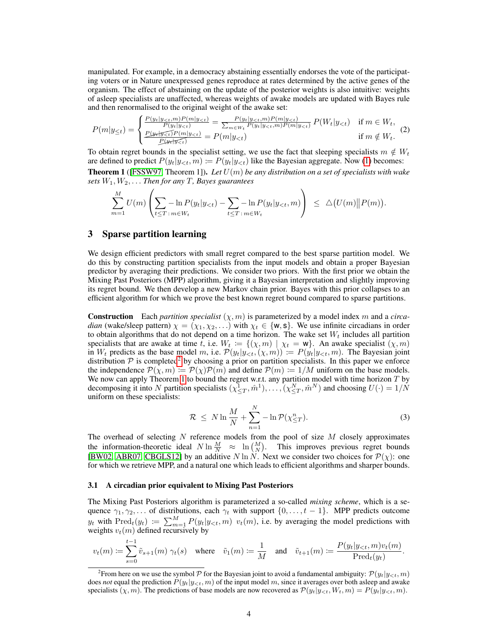manipulated. For example, in a democracy abstaining essentially endorses the vote of the participating voters or in Nature unexpressed genes reproduce at rates determined by the active genes of the organism. The effect of abstaining on the update of the posterior weights is also intuitive: weights of asleep specialists are unaffected, whereas weights of awake models are updated with Bayes rule and then renormalised to the original weight of the awake set:

$$
P(m|y_{\leq t}) = \begin{cases} \frac{P(y_t|y_{ (2)
$$

To obtain regret bounds in the specialist setting, we use the fact that sleeping specialists  $m \notin W_t$ are defined to predict  $P(y_t|y_{<}; m) := P(y_t|y_{<}; t)$  like the Bayesian aggregate. Now (1) becomes: **Theorem 1** ([FSSW97, Theorem 1]). Let  $U(m)$  be any distribution on a set of specialists with wake *sets* W1, W2, . . . *Then for any* T*, Bayes guarantees*

$$
\sum_{m=1}^{M} U(m) \left( \sum_{t \leq T} -\ln P(y_t | y_{< t}) - \sum_{t \leq T} -\ln P(y_t | y_{< t}, m) \right) \leq \Delta(U(m) \| P(m)).
$$

## 3 Sparse partition learning

We design efficient predictors with small regret compared to the best sparse partition model. We do this by constructing partition specialists from the input models and obtain a proper Bayesian predictor by averaging their predictions. We consider two priors. With the first prior we obtain the Mixing Past Posteriors (MPP) algorithm, giving it a Bayesian interpretation and slightly improving its regret bound. We then develop a new Markov chain prior. Bayes with this prior collapses to an efficient algorithm for which we prove the best known regret bound compared to sparse partitions.

**Construction** Each *partition specialist*  $(\chi, m)$  is parameterized by a model index m and a *circadian* (wake/sleep pattern)  $\chi = (\chi_1, \chi_2, \ldots)$  with  $\chi_t \in \{w, s\}$ . We use infinite circadians in order to obtain algorithms that do not depend on a time horizon. The wake set  $W_t$  includes all partition specialists that are awake at time t, i.e.  $W_t := \{(\chi, m) | \chi_t = w\}$ . An awake specialist  $(\chi, m)$ in  $W_t$  predicts as the base model m, i.e.  $\mathcal{P}(y_t|y_{< t},(\chi,m)) := P(y_t|y_{< t}, m)$ . The Bayesian joint distribution  $P$  is completed<sup>2</sup> by choosing a prior on partition specialists. In this paper we enforce the independence  $\mathcal{P}(\chi,m) := \mathcal{P}(\chi)\mathcal{P}(m)$  and define  $\mathcal{P}(m) := 1/M$  uniform on the base models. We now can apply Theorem 1 to bound the regret w.r.t. any partition model with time horizon  $T$  by decomposing it into N partition specialists  $(\chi_{\leq T}^1, \hat{m}^1), \ldots, (\chi_{\leq T}^N, \hat{m}^N)$  and choosing  $U(\cdot) = 1/N$ uniform on these specialists:

$$
\mathcal{R} \le N \ln \frac{M}{N} + \sum_{n=1}^{N} -\ln \mathcal{P}(\chi_{\le T}^n). \tag{3}
$$

The overhead of selecting  $N$  reference models from the pool of size  $M$  closely approximates the information-theoretic ideal  $N \ln \frac{M}{N} \approx \ln {M \choose N}$ . This improves previous regret bounds [BW02, ABR07, CBGLS12] by an additive N ln N. Next we consider two choices for  $\mathcal{P}(\chi)$ : one for which we retrieve MPP, and a natural one which leads to efficient algorithms and sharper bounds.

### 3.1 A circadian prior equivalent to Mixing Past Posteriors

The Mixing Past Posteriors algorithm is parameterized a so-called *mixing scheme*, which is a sequence  $\gamma_1, \gamma_2, \ldots$  of distributions, each  $\gamma_t$  with support  $\{0, \ldots, t-1\}$ . MPP predicts outcome  $y_t$  with  $\text{Pred}_t(y_t) := \sum_{m=1}^M P(y_t|y_{<}; t, m)$  v<sub>t</sub> $(m)$ , i.e. by averaging the model predictions with weights  $v_t(m)$  defined recursively by

$$
v_t(m) \coloneqq \sum_{s=0}^{t-1} \tilde{v}_{s+1}(m) \; \gamma_t(s) \quad \text{where} \quad \tilde{v}_1(m) \coloneqq \frac{1}{M} \quad \text{and} \quad \tilde{v}_{t+1}(m) \coloneqq \frac{P(y_t|y_{<}; m)v_t(m)}{\text{Pred}_t(y_t)}.
$$

<sup>&</sup>lt;sup>2</sup> From here on we use the symbol  $P$  for the Bayesian joint to avoid a fundamental ambiguity:  $P(y_t|y_{< t}, m)$ does *not* equal the prediction  $P(y_t|y_{\leq t}, m)$  of the input model m, since it averages over both asleep and awake specialists  $(\chi, m)$ . The predictions of base models are now recovered as  $P(y_t|y_{\leq t}, W_t, m) = P(y_t|y_{\leq t}, m)$ .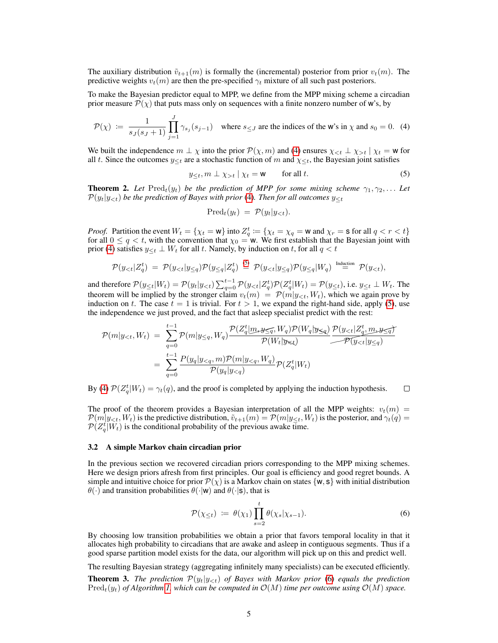The auxiliary distribution  $\tilde{v}_{t+1}(m)$  is formally the (incremental) posterior from prior  $v_t(m)$ . The predictive weights  $v_t(m)$  are then the pre-specified  $\gamma_t$  mixture of all such past posteriors.

To make the Bayesian predictor equal to MPP, we define from the MPP mixing scheme a circadian prior measure  $\mathcal{P}(\chi)$  that puts mass only on sequences with a finite nonzero number of w's, by

$$
\mathcal{P}(\chi) := \frac{1}{s_J(s_J+1)} \prod_{j=1}^J \gamma_{s_j}(s_{j-1}) \quad \text{where } s_{\leq J} \text{ are the indices of the } \mathbf{w} \text{'s in } \chi \text{ and } s_0 = 0. \tag{4}
$$

We built the independence  $m \perp \chi$  into the prior  $\mathcal{P}(\chi, m)$  and (4) ensures  $\chi_{\leq t} \perp \chi_{>t} | \chi_t = w$  for all t. Since the outcomes  $y_{\leq t}$  are a stochastic function of m and  $\chi_{\leq t}$ , the Bayesian joint satisfies

$$
y_{\leq t}, m \perp \chi_{>t} \mid \chi_t = \mathbf{w} \qquad \text{for all } t. \tag{5}
$$

**Theorem 2.** Let  $\text{Pred}_t(y_t)$  be the prediction of MPP for some mixing scheme  $\gamma_1, \gamma_2, \ldots$  Let  $P(y_t|y_{<};t)$  *be the prediction of Bayes with prior* (4)*. Then for all outcomes*  $y_{< t}$ 

$$
\text{Pred}_t(y_t) = \mathcal{P}(y_t|y_{< t}).
$$

*Proof.* Partition the event  $W_t = \{ \chi_t = w \}$  into  $Z_q^t := \{ \chi_t = \chi_q = w \text{ and } \chi_r = \mathsf{s} \text{ for all } q < r < t \}$ for all  $0 \le q < t$ , with the convention that  $\chi_0 = w$ . We first establish that the Bayesian joint with prior (4) satisfies  $y_{\leq t} \perp W_t$  for all t. Namely, by induction on t, for all  $q < t$ 

$$
\mathcal{P}(y_{< t}|\mathbf{Z}_q^t) = \mathcal{P}(y_{< t}|\mathbf{y}_{\leq q})\mathcal{P}(y_{\leq q}|\mathbf{Z}_q^t) \stackrel{\text{(5)}}{=} \mathcal{P}(y_{< t}|\mathbf{y}_{\leq q})\mathcal{P}(y_{\leq q}|\mathbf{W}_q) \stackrel{\text{Induction}}{=} \mathcal{P}(y_{< t}),
$$

and therefore  $\mathcal{P}(y_{\leq t}|W_t) = \mathcal{P}(y_t|y_{, i.e.  $y_{\leq t} \perp W_t$ . The$ theorem will be implied by the stronger claim  $v_t(m) = \mathcal{P}(m|y_{< t}, W_t)$ , which we again prove by induction on t. The case  $t = 1$  is trivial. For  $t > 1$ , we expand the right-hand side, apply (5), use the independence we just proved, and the fact that asleep specialist predict with the rest:

$$
\begin{aligned} \mathcal{P}(m|y_{
$$

By (4)  $\mathcal{P}(Z_q^t|W_t) = \gamma_t(q)$ , and the proof is completed by applying the induction hypothesis.  $\Box$ 

The proof of the theorem provides a Bayesian interpretation of all the MPP weights:  $v_t(m)$  =  $\mathcal{P}(m|y_{< t}, W_t)$  is the predictive distribution,  $\tilde{v}_{t+1}(m) = \mathcal{P}(m|y_{< t}, W_t)$  is the posterior, and  $\gamma_t(q) =$  $\mathcal{P}(Z_q^t|W_t)$  is the conditional probability of the previous awake time.

#### 3.2 A simple Markov chain circadian prior

In the previous section we recovered circadian priors corresponding to the MPP mixing schemes. Here we design priors afresh from first principles. Our goal is efficiency and good regret bounds. A simple and intuitive choice for prior  $\mathcal{P}(\chi)$  is a Markov chain on states {w, s} with initial distribution  $\theta(\cdot)$  and transition probabilities  $\theta(\cdot|\mathbf{w})$  and  $\theta(\cdot|\mathbf{s})$ , that is

$$
\mathcal{P}(\chi_{\leq t}) \ := \ \theta(\chi_1) \prod_{s=2}^t \theta(\chi_s | \chi_{s-1}). \tag{6}
$$

By choosing low transition probabilities we obtain a prior that favors temporal locality in that it allocates high probability to circadians that are awake and asleep in contiguous segments. Thus if a good sparse partition model exists for the data, our algorithm will pick up on this and predict well.

The resulting Bayesian strategy (aggregating infinitely many specialists) can be executed efficiently.

**Theorem 3.** The prediction  $\mathcal{P}(y_t|y_{< t})$  of Bayes with Markov prior (6) equals the prediction  $Pred_t(y_t)$  *of Algorithm 1, which can be computed in*  $O(M)$  *time per outcome using*  $O(M)$  *space.*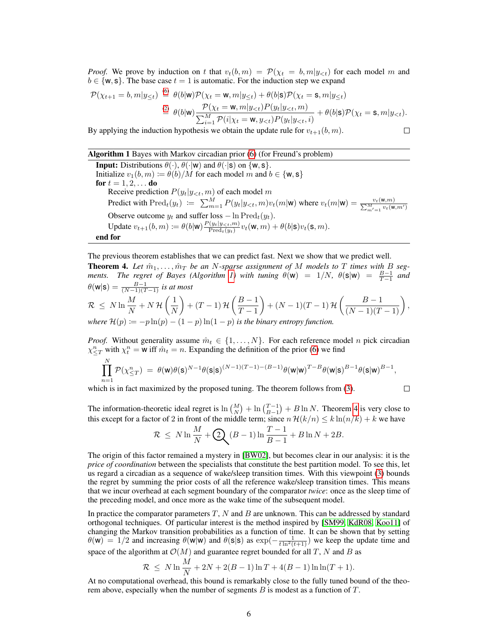*Proof.* We prove by induction on t that  $v_t(b,m) = \mathcal{P}(\chi_t = b, m|y_{< t})$  for each model m and  $b \in \{w, s\}$ . The base case  $t = 1$  is automatic. For the induction step we expand

$$
\mathcal{P}(\chi_{t+1} = b, m | y_{\leq t}) \stackrel{\text{(6)}}{=} \theta(b | \mathbf{w}) \mathcal{P}(\chi_t = \mathbf{w}, m | y_{\leq t}) + \theta(b | \mathbf{s}) \mathcal{P}(\chi_t = \mathbf{s}, m | y_{\leq t}) \stackrel{\text{(2)}}{=} \theta(b | \mathbf{w}) \frac{\mathcal{P}(\chi_t = \mathbf{w}, m | y_{
$$

By applying the induction hypothesis we obtain the update rule for  $v_{t+1}(b, m)$ .

$$
\qquad \qquad \Box
$$

### Algorithm 1 Bayes with Markov circadian prior (6) (for Freund's problem)

**Input:** Distributions  $\theta(\cdot), \theta(\cdot|\mathbf{w})$  and  $\theta(\cdot|\mathbf{s})$  on  $\{\mathbf{w}, \mathbf{s}\}.$ Initialize  $v_1(b, m) := \theta(b)/M$  for each model m and  $b \in \{w, s\}$ for  $t = 1, 2, ...$  do Receive prediction  $P(y_t|y_{< t}, m)$  of each model  $m$ Predict with  $\text{Pred}_t(y_t) := \sum_{m=1}^M P(y_t|y_{< t}, m)v_t(m|\mathbf{w})$  where  $v_t(m|\mathbf{w}) = \frac{v_t(\mathbf{w}, m)}{\sum_{m'=1}^M v_t(\mathbf{w}, m')}$ Observe outcome  $y_t$  and suffer loss  $-\ln \text{Pred}_t(y_t)$ . Update  $v_{t+1}(b,m) \coloneqq \theta(b|\mathbf{w}) \frac{P(y_t|y_{<};m)}{\text{Pred}_{t}(y_t)}$  $\frac{(\bar{y}_t|\bar{y}_{\leq t},m)}{\text{Pred}_t(\bar{y}_t)} v_t(\mathsf{W},m) + \theta(b|\mathsf{s}) v_t(\mathsf{s},m).$ end for

The previous theorem establishes that we can predict fast. Next we show that we predict well. **Theorem 4.** Let  $\hat{m}_1, \ldots, \hat{m}_T$  be an N-sparse assignment of M models to T times with B seg*ments.* The regret of Bayes (Algorithm 1) with tuning  $\theta(\mathbf{w}) = 1/N$ ,  $\theta(\mathbf{s}|\mathbf{w}) = \frac{B-1}{T-1}$  and  $\theta(\mathsf{w}|\mathsf{s}) = \frac{B-1}{(N-1)(T-1)}$  is at most

$$
\mathcal{R} \leq N \ln \frac{M}{N} + N \mathcal{H} \left( \frac{1}{N} \right) + (T - 1) \mathcal{H} \left( \frac{B - 1}{T - 1} \right) + (N - 1)(T - 1) \mathcal{H} \left( \frac{B - 1}{(N - 1)(T - 1)} \right),
$$
  
where  $\mathcal{H}(p) \coloneqq -p \ln(p) - (1 - p) \ln(1 - p)$  is the binary entropy function.

*Proof.* Without generality assume  $\hat{m}_t \in \{1, ..., N\}$ . For each reference model n pick circadian  $\chi_{\leq T}^n$  with  $\chi_t^n = w$  iff  $\hat{m}_t = n$ . Expanding the definition of the prior (6) we find

$$
\prod_{n=1}^N \mathcal{P}(\chi_{\leq T}^n) \; = \; \theta(\mathbf{w}) \theta(\mathbf{s})^{N-1} \theta(\mathbf{s}|\mathbf{s})^{(N-1)(T-1)-(B-1)} \theta(\mathbf{w}|\mathbf{w})^{T-B} \theta(\mathbf{w}|\mathbf{s})^{B-1} \theta(\mathbf{s}|\mathbf{w})^{B-1},
$$

which is in fact maximized by the proposed tuning. The theorem follows from (3).

 $\Box$ 

The information-theoretic ideal regret is  $\ln {M \choose N} + \ln {T-1 \choose B-1} + B \ln N$ . Theorem 4 is very close to this except for a factor of 2 in front of the middle term; since  $n \mathcal{H}(k/n) \leq k \ln(n/k) + k$  we have

$$
\mathcal{R} \le N \ln \frac{M}{N} + \mathcal{Q} \left( B - 1 \right) \ln \frac{T - 1}{B - 1} + B \ln N + 2B.
$$

The origin of this factor remained a mystery in [BW02], but becomes clear in our analysis: it is the *price of coordination* between the specialists that constitute the best partition model. To see this, let us regard a circadian as a sequence of wake/sleep transition times. With this viewpoint (3) bounds the regret by summing the prior costs of all the reference wake/sleep transition times. This means that we incur overhead at each segment boundary of the comparator *twice*: once as the sleep time of the preceding model, and once more as the wake time of the subsequent model.

In practice the comparator parameters  $T$ ,  $N$  and  $B$  are unknown. This can be addressed by standard orthogonal techniques. Of particular interest is the method inspired by [SM99, KdR08, Koo11] of changing the Markov transition probabilities as a function of time. It can be shown that by setting  $\theta(w) = 1/2$  and increasing  $\theta(w|w)$  and  $\theta(s|s)$  as  $\exp(-\frac{1}{t \ln^2(t+1)})$  we keep the update time and space of the algorithm at  $\mathcal{O}(M)$  and guarantee regret bounded for all T, N and B as

$$
\mathcal{R} \le N \ln \frac{M}{N} + 2N + 2(B - 1) \ln T + 4(B - 1) \ln \ln (T + 1).
$$

At no computational overhead, this bound is remarkably close to the fully tuned bound of the theorem above, especially when the number of segments  $B$  is modest as a function of  $T$ .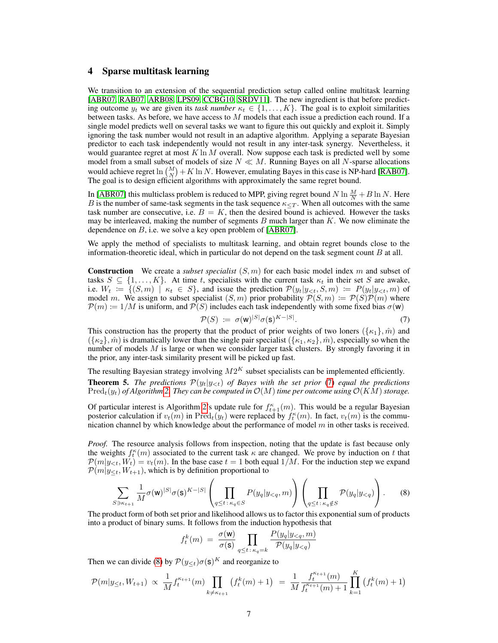### 4 Sparse multitask learning

We transition to an extension of the sequential prediction setup called online multitask learning [ABR07, RAB07, ARB08, LPS09, CCBG10, SRDV11]. The new ingredient is that before predicting outcome  $y_t$  we are given its *task number*  $\kappa_t \in \{1, \ldots, K\}$ . The goal is to exploit similarities between tasks. As before, we have access to  $M$  models that each issue a prediction each round. If a single model predicts well on several tasks we want to figure this out quickly and exploit it. Simply ignoring the task number would not result in an adaptive algorithm. Applying a separate Bayesian predictor to each task independently would not result in any inter-task synergy. Nevertheless, it would guarantee regret at most  $K \ln M$  overall. Now suppose each task is predicted well by some model from a small subset of models of size  $N \ll M$ . Running Bayes on all N-sparse allocations would achieve regret  $\ln {\binom{M}{N}} + K \ln N$ . However, emulating Bayes in this case is NP-hard [RAB07]. The goal is to design efficient algorithms with approximately the same regret bound.

In [ABR07] this multiclass problem is reduced to MPP, giving regret bound  $N \ln \frac{M}{N} + B \ln N$ . Here B is the number of same-task segments in the task sequence  $\kappa_{\leq T}$ . When all outcomes with the same task number are consecutive, i.e.  $B = K$ , then the desired bound is achieved. However the tasks may be interleaved, making the number of segments  $B$  much larger than  $K$ . We now eliminate the dependence on  $B$ , i.e. we solve a key open problem of [ABR07].

We apply the method of specialists to multitask learning, and obtain regret bounds close to the information-theoretic ideal, which in particular do not depend on the task segment count  $B$  at all.

Construction We create a *subset specialist* (S, m) for each basic model index m and subset of tasks  $S \subseteq \{1, \ldots, K\}$ . At time t, specialists with the current task  $\kappa_t$  in their set S are awake, i.e.  $W_t := \{ (S, m) \mid \kappa_t \in S \}$ , and issue the prediction  $\mathcal{P}(y_t | y_{\le t}, S, m) := P(y_t | y_{\le t}, m)$  of model m. We assign to subset specialist  $(S, m)$  prior probability  $P(S, m) := P(S)P(m)$  where  $\mathcal{P}(m) := 1/M$  is uniform, and  $\mathcal{P}(S)$  includes each task independently with some fixed bias  $\sigma(\mathbf{w})$ 

$$
\mathcal{P}(S) := \sigma(\mathbf{w})^{|S|} \sigma(\mathbf{s})^{K-|S|}.\tag{7}
$$

 $\overline{r}$ 

This construction has the property that the product of prior weights of two loners  $({k_1}, \hat{m})$  and  $({k_2}, \hat{m})$  is dramatically lower than the single pair specialist  $({k_1, k_2}, \hat{m})$ , especially so when the number of models  $M$  is large or when we consider larger task clusters. By strongly favoring it in the prior, any inter-task similarity present will be picked up fast.

The resulting Bayesian strategy involving  $M2^K$  subset specialists can be implemented efficiently.

**Theorem 5.** The predictions  $\mathcal{P}(y_t|y_{< t})$  of Bayes with the set prior (7) equal the predictions  $Pred_t(y_t)$  *of Algorithm* 2. They can be computed in  $O(M)$  *time per outcome using*  $O(KM)$  *storage.* 

Of particular interest is Algorithm 2's update rule for  $f_{t+1}^{\kappa}(m)$ . This would be a regular Bayesian posterior calculation if  $v_t(m)$  in  $\text{Pred}_t(y_t)$  were replaced by  $f_t^{\kappa}(m)$ . In fact,  $v_t(m)$  is the communication channel by which knowledge about the performance of model  $m$  in other tasks is received.

*Proof.* The resource analysis follows from inspection, noting that the update is fast because only the weights  $f_t^{\kappa}(m)$  associated to the current task  $\kappa$  are changed. We prove by induction on t that  $\mathcal{P}(m|y_{< t}, W_t) = v_t(m)$ . In the base case  $t = 1$  both equal  $1/M$ . For the induction step we expand  $\mathcal{P}(m|y_{\leq t}, W_{t+1})$ , which is by definition proportional to

$$
\sum_{S \ni \kappa_{t+1}} \frac{1}{M} \sigma(\mathbf{w})^{|S|} \sigma(\mathbf{s})^{K-|S|} \left( \prod_{q \le t \,:\, \kappa_q \in S} P(y_q | y_{\le q}, m) \right) \left( \prod_{q \le t \,:\, \kappa_q \notin S} \mathcal{P}(y_q | y_{\le q}) \right).
$$
 (8)

The product form of both set prior and likelihood allows us to factor this exponential sum of products into a product of binary sums. It follows from the induction hypothesis that

$$
f_t^k(m) = \frac{\sigma(\mathbf{w})}{\sigma(\mathbf{s})} \prod_{q \le t \, : \, \kappa_q = k} \frac{P(y_q | y_{\le q}, m)}{\mathcal{P}(y_q | y_{\le q})}
$$

Then we can divide (8) by  $P(y_{\leq t})\sigma(s)^K$  and reorganize to

$$
\mathcal{P}(m|y_{\leq t}, W_{t+1}) \propto \frac{1}{M} f_t^{\kappa_{t+1}}(m) \prod_{k \neq \kappa_{t+1}} \left( f_t^k(m) + 1 \right) = \frac{1}{M} \frac{f_t^{\kappa_{t+1}}(m)}{f_t^{\kappa_{t+1}}(m) + 1} \prod_{k=1}^K \left( f_t^k(m) + 1 \right)
$$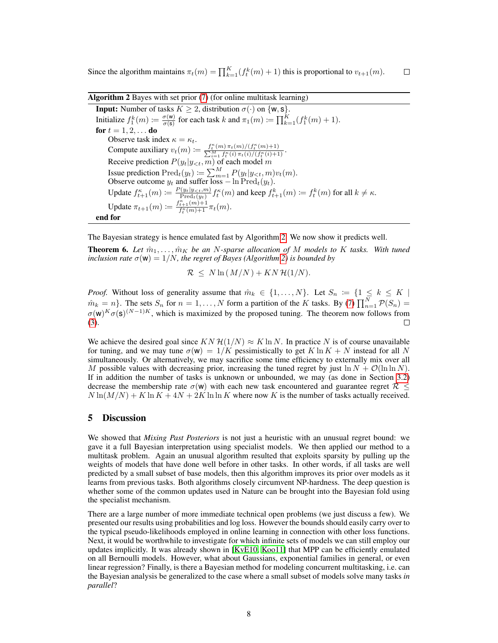Since the algorithm maintains  $\pi_t(m) = \prod_{k=1}^K (f_t^k(m) + 1)$  this is proportional to  $v_{t+1}(m)$ .  $\Box$ 

Algorithm 2 Bayes with set prior (7) (for online multitask learning)

**Input:** Number of tasks  $K \geq 2$ , distribution  $\sigma(\cdot)$  on  $\{w, s\}$ . Initialize  $f_1^k(m) \coloneqq \frac{\sigma(w)}{\sigma(s)}$  $\frac{\sigma(w)}{\sigma(s)}$  for each task k and  $\pi_1(m) \coloneqq \prod_{k=1}^K (f_1^k(m) + 1)$ . for  $t = 1, 2, ...$  do Observe task index  $\kappa = \kappa_t$ . Compute auxiliary  $v_t(m) := \frac{f_t^{\kappa}(m) \pi_t(m) / (f_t^{\kappa})}{\sum_{i=1}^{M} f_t^{\kappa}(i) \pi_t(i) / (m)}$  $\frac{t^{\kappa}_t(m)\pi_t(m)/(f^{\kappa}_t(m)+1)}{\sum\limits_{i=1}^{M}f^{\kappa}_t(i)\pi_t(i)/(f^{\kappa}_t(i)+1)}.$ Receive prediction  $P(y_t|y_{< t}, m)$  of each model m Issue prediction  $\text{Pred}_t(y_t) \coloneqq \sum_{m=1}^M P(y_t|y_{\leq t}, m)v_t(m)$ . Observe outcome  $y_t$  and suffer loss  $-\ln \text{Pred}_t(y_t)$ . Update  $f_{t+1}^{\kappa}(m) \coloneqq \frac{P(y_t|y_{<};m)}{\text{Pred}_{t}(y_t)}$  $\lim_{\text{Pred}_t(y_t)} f_t^{\kappa}(m)$  and keep  $f_{t+1}^k(m) \coloneqq f_t^k(m)$  for all  $k \neq \kappa$ . Update  $\pi_{t+1}(m) := \frac{f_{t+1}^{\kappa}(m)+1}{f_t^{\kappa}(m)+1} \pi_t(m)$ . end for

The Bayesian strategy is hence emulated fast by Algorithm 2. We now show it predicts well.

**Theorem 6.** Let  $\hat{m}_1, \ldots, \hat{m}_K$  be an N-sparse allocation of M models to K tasks. With tuned *inclusion rate*  $\sigma(\mathbf{w}) = 1/N$ *, the regret of Bayes (Algorithm 2) is bounded by* 

$$
\mathcal{R} \leq N \ln \left( \frac{M}{N} \right) + KN \mathcal{H}(1/N).
$$

*Proof.* Without loss of generality assume that  $\hat{m}_k \in \{1, ..., N\}$ . Let  $S_n := \{1 \leq k \leq K \mid$  $\hat{m}_k = n$ . The sets  $S_n$  for  $n = 1, ..., N$  form a partition of the K tasks. By (7)  $\prod_{n=1}^{N} \mathcal{P}(S_n) =$  $\sigma(w)^K \sigma(s)^{(N-1)K}$ , which is maximized by the proposed tuning. The theorem now follows from (3).  $\Box$ 

We achieve the desired goal since  $KN \mathcal{H}(1/N) \approx K \ln N$ . In practice N is of course unavailable for tuning, and we may tune  $\sigma(w) = 1/K$  pessimistically to get K ln  $K + N$  instead for all N simultaneously. Or alternatively, we may sacrifice some time efficiency to externally mix over all M possible values with decreasing prior, increasing the tuned regret by just  $\ln N + \mathcal{O}(\ln \ln N)$ . If in addition the number of tasks is unknown or unbounded, we may (as done in Section 3.2) decrease the membership rate  $\sigma(w)$  with each new task encountered and guarantee regret  $\mathcal{R} \leq$  $N \ln(M/N) + K \ln K + 4N + 2K \ln \ln K$  where now K is the number of tasks actually received.

### 5 Discussion

We showed that *Mixing Past Posteriors* is not just a heuristic with an unusual regret bound: we gave it a full Bayesian interpretation using specialist models. We then applied our method to a multitask problem. Again an unusual algorithm resulted that exploits sparsity by pulling up the weights of models that have done well before in other tasks. In other words, if all tasks are well predicted by a small subset of base models, then this algorithm improves its prior over models as it learns from previous tasks. Both algorithms closely circumvent NP-hardness. The deep question is whether some of the common updates used in Nature can be brought into the Bayesian fold using the specialist mechanism.

There are a large number of more immediate technical open problems (we just discuss a few). We presented our results using probabilities and log loss. However the bounds should easily carry over to the typical pseudo-likelihoods employed in online learning in connection with other loss functions. Next, it would be worthwhile to investigate for which infinite sets of models we can still employ our updates implicitly. It was already shown in [KvE10, Koo11] that MPP can be efficiently emulated on all Bernoulli models. However, what about Gaussians, exponential families in general, or even linear regression? Finally, is there a Bayesian method for modeling concurrent multitasking, i.e. can the Bayesian analysis be generalized to the case where a small subset of models solve many tasks *in parallel*?